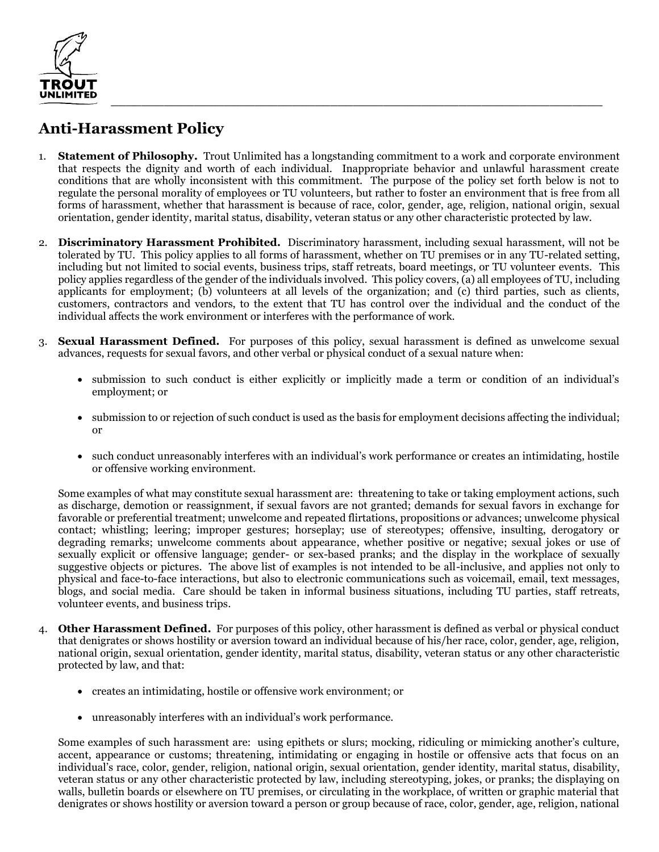

## **Anti-Harassment Policy**

- 1. **Statement of Philosophy.** Trout Unlimited has a longstanding commitment to a work and corporate environment that respects the dignity and worth of each individual. Inappropriate behavior and unlawful harassment create conditions that are wholly inconsistent with this commitment. The purpose of the policy set forth below is not to regulate the personal morality of employees or TU volunteers, but rather to foster an environment that is free from all forms of harassment, whether that harassment is because of race, color, gender, age, religion, national origin, sexual orientation, gender identity, marital status, disability, veteran status or any other characteristic protected by law.
- 2. **Discriminatory Harassment Prohibited.** Discriminatory harassment, including sexual harassment, will not be tolerated by TU. This policy applies to all forms of harassment, whether on TU premises or in any TU-related setting, including but not limited to social events, business trips, staff retreats, board meetings, or TU volunteer events. This policy applies regardless of the gender of the individuals involved. This policy covers, (a) all employees of TU, including applicants for employment; (b) volunteers at all levels of the organization; and (c) third parties, such as clients, customers, contractors and vendors, to the extent that TU has control over the individual and the conduct of the individual affects the work environment or interferes with the performance of work.
- 3. **Sexual Harassment Defined.** For purposes of this policy, sexual harassment is defined as unwelcome sexual advances, requests for sexual favors, and other verbal or physical conduct of a sexual nature when:
	- submission to such conduct is either explicitly or implicitly made a term or condition of an individual's employment; or
	- submission to or rejection of such conduct is used as the basis for employment decisions affecting the individual; or
	- such conduct unreasonably interferes with an individual's work performance or creates an intimidating, hostile or offensive working environment.

Some examples of what may constitute sexual harassment are: threatening to take or taking employment actions, such as discharge, demotion or reassignment, if sexual favors are not granted; demands for sexual favors in exchange for favorable or preferential treatment; unwelcome and repeated flirtations, propositions or advances; unwelcome physical contact; whistling; leering; improper gestures; horseplay; use of stereotypes; offensive, insulting, derogatory or degrading remarks; unwelcome comments about appearance, whether positive or negative; sexual jokes or use of sexually explicit or offensive language; gender- or sex-based pranks; and the display in the workplace of sexually suggestive objects or pictures. The above list of examples is not intended to be all-inclusive, and applies not only to physical and face-to-face interactions, but also to electronic communications such as voicemail, email, text messages, blogs, and social media. Care should be taken in informal business situations, including TU parties, staff retreats, volunteer events, and business trips.

- 4. **Other Harassment Defined.** For purposes of this policy, other harassment is defined as verbal or physical conduct that denigrates or shows hostility or aversion toward an individual because of his/her race, color, gender, age, religion, national origin, sexual orientation, gender identity, marital status, disability, veteran status or any other characteristic protected by law, and that:
	- creates an intimidating, hostile or offensive work environment; or
	- unreasonably interferes with an individual's work performance.

Some examples of such harassment are: using epithets or slurs; mocking, ridiculing or mimicking another's culture, accent, appearance or customs; threatening, intimidating or engaging in hostile or offensive acts that focus on an individual's race, color, gender, religion, national origin, sexual orientation, gender identity, marital status, disability, veteran status or any other characteristic protected by law, including stereotyping, jokes, or pranks; the displaying on walls, bulletin boards or elsewhere on TU premises, or circulating in the workplace, of written or graphic material that denigrates or shows hostility or aversion toward a person or group because of race, color, gender, age, religion, national